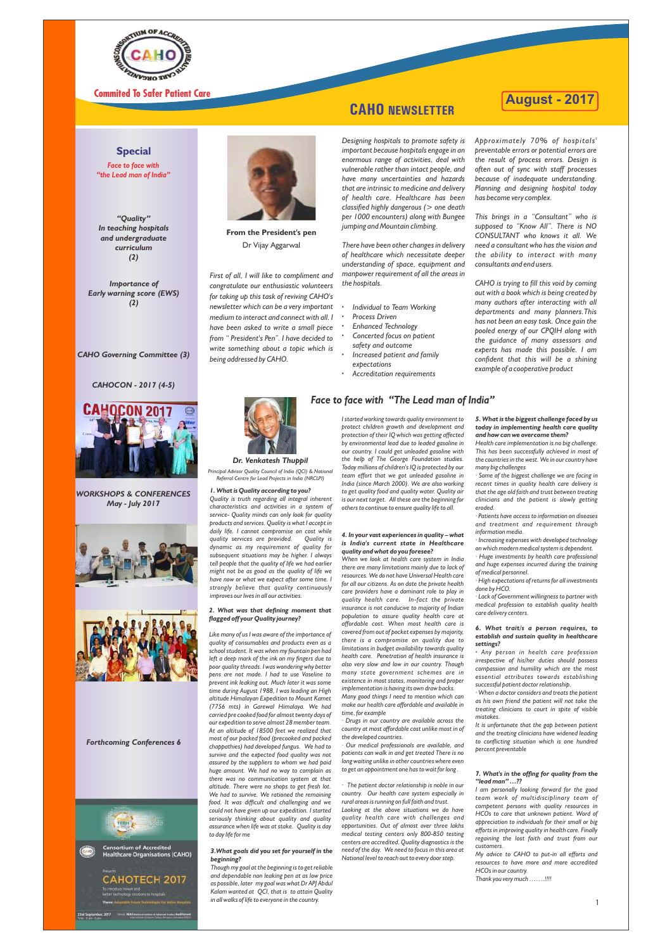

### **Special**

**From the President's pen** Dr Vijay Aggarwal

*First of all, I will like to compliment and congratulate our enthusiastic volunteers for taking up this task of reviving CAHO's newsletter which can be a very important medium to interact and connect with all. I have been asked to write a small piece from " President's Pen". I have decided to write something about a topic which is being addressed by CAHO.* 

*Designing hospitals to promote safety is important because hospitals engage in an enormous range of activities, deal with vulnerable rather than intact people, and have many uncertainties and hazards that are intrinsic to medicine and delivery of health care. Healthcare has been classified highly dangerous (> one death per 1000 encounters) along with Bungee jumping and Mountain climbing.*

*There have been other changes in delivery of healthcare which necessitate deeper understanding of space, equipment and manpower requirement of all the areas in the hospitals.*

- *Individual to Team Working*
- *Process Driven*
- *Enhanced Technology Concerted focus on patient*
- *safety and outcome Increased patient and family*
- *expectations*
- *Accreditation requirements*

*Approximately 70% of hospitals' preventable errors or potential errors are the result of process errors. Design is often out of sync with staff processes because of inadequate understanding. Planning and designing hospital today has become very complex.*

*This brings in a "Consultant" who is supposed to "Know All". There is NO CONSULTANT who knows it all. We need a consultant who has the vision and the ability to interact with many consultants and end users.*

*CAHO is trying to fill this void by coming out with a book which is being created by many authors after interacting with all departments and many planners.This has not been an easy task. Once gain the pooled energy of our CPQIH along with the guidance of many assessors and experts has made this possible. I am confident that this will be a shining example of a cooperative product*



### *Face to face with "The Lead man of India"*

#### *Dr. Venkatesh Thuppil*

#### *1. What is Quality according to you?*

*Quality is truth regarding all integral inherent characteristics and activities in a system of service- Quality minds can only look for quality products and services. Quality is what I accept in daily life. I cannot compromise on cost while quality services are provided. Quality is dynamic as my requirement of quality for subsequent situations may be higher. I always tell people that the quality of life we had earlier might not be as good as the quality of life we have now or what we expect after some time. I strongly believe that quality continuously improves our lives in all our activities.* 

#### *2. What was that defining moment that agged off your Quality journey?*

*Like many of us I was aware of the importance of quality of consumables and products even as a school student. It was when my fountain pen had left a deep mark of the ink on my fingers due to poor quality threads. I was wondering why better pens are not made. I had to use Vaseline to prevent ink leaking out. Much later it was some time during August 1988, I was leading an High altitude Himalayan Expedition to Mount Kamet (7756 mts) in Garewal Himalaya. We had carried pre cooked food for almost twenty days of our expedition to serve almost 28 member team. At an altitude of 18500 feet we realized that most of our packed food (precooked and packed chappathies) had developed fungus. We had to survive and the expected food quality was not assured by the suppliers to whom we had paid huge amount. We had no way to complain as there was no communication system at that altitude. There were no shops to get fresh lot. We had to survive. We rationed the remaining food. It was difficult and challenging and we could not have given up our expedition. I started seriously thinking about quality and quality assurance when life was at stake. Quality is day to day life for me*

*I started working towards quality environment to protect children growth and development and protection of their IQ which was getting affected by environmental lead due to leaded gasoline in our country. I could get unleaded gasoline with the help of The George Foundation studies. Today millions of children's IQ is protected by our team effort that we got unleaded gasoline in India (since March 2000). We are also working to get quality food and quality water. Quality air is our next target. All these are the beginning for others to continue to ensure quality life to all.*

#### *4. In your vast experiences in quality – what is India's current state in Healthcare quality and what do you foresee?*

*When we look at health care system in India there are many limitations mainly due to lack of resources. We do not have Universal Health care for all our citizens. As on date the private health care providers have a dominant role to play in quality health care. In-fact the private insurance is not conducive to majority of Indian population to assure quality health care at affordable cost. When most health care is covered from out of pocket expenses by majority, there is a compromise on quality due to limitations in budget availability towards quality health care. Penetration of health insurance is also very slow and low in our country. Though many state government schemes are in existence in most states, monitoring and proper implementation is having its own draw backs.* 

*Many good things I need to mention which can make our health care affordable and available in time, for example*

*· Drugs in our country are available across the country at most affordable cost unlike most in of the developed countries.*

*· Our medical professionals are available, and patients can walk in and get treated There is no long waiting unlike in other countries where even to get an appointment one has to wait for long .* 

*· The patient doctor relationship is noble in our country. Our health care system especially in rural areas is running on full faith and trust. Looking at the above situations we do have quality health care with challenges and opportunities. Out of almost over three lakhs medical testing centers only 800-850 testing centers are accredited. Quality diagnostics is the need of the day. We need to focus in this area at National level to reach out to every door step.*

#### *5. What is the biggest challenge faced by us today in implementing health care quality and how can we overcome them?*

*Health care implementation is no big challenge. This has been successfully achieved in most of the countries in the west. We in our country have many big challenges*

*· Some of the biggest challenge we are facing in recent times in quality health care delivery is that the age old faith and trust between treating clinicians and the patient is slowly getting eroded.* 

*· Patients have access to information on diseases and treatment and requirement through information media.* 

*· Increasing expenses with developed technology on which modern medical system is dependent.* 

*· Huge investments by health care professional and huge expenses incurred during the training of medical personnel.* 

*· High expectations of returns for all investments done by HCO.* 

*· Lack of Government willingness to partner with medical profession to establish quality health care delivery centers.* 

#### *3.What goals did you set for yourself in the beginning?*

*Though my goal at the beginning is to get reliable and dependable non leaking pen at as low price as possible, later my goal was what Dr APJ Abdul Kalam wanted at QCI, that is to attain Quality in all walks of life to everyone in the country.* 

#### *6. What trait/s a person requires, to establish and sustain quality in healthcare settings?*

*· Any person in health care profession irrespective of his/her duties should possess compassion and humility which are the most essential attributes towards establishing successful patient doctor relationship.*

*· When a doctor considers and treats the patient as his own friend the patient will not take the treating clinicians to court in spite of visible mistakes.*

*It is unfortunate that the gap between patient and the treating clinicians have widened leading*  to conflicting situation which is one hundred *percent preventable*

#### *7. What's in the offing for quality from the "lead man" …??*

*I am personally looking forward for the good team work of multidisciplinary team of competent persons with quality resources in HCOs to care that unknown patient. Word of appreciation to individuals for their small or big efforts in improving quality in health care. Finally regaining the lost faith and trust from our customers.* 

*My advice to CAHO to put-in all efforts and resources to have more and more accredited HCOs in our country.*

*Thank you very much …….!!!!*

*Face to face with "the Lead man of India"*

*"Quality" In teaching hospitals and undergraduate curriculum (2)*

*Importance of Early warning score (EWS) (2)*

#### *Forthcoming Conferences 6*





**Consortium of Accredited Healthcare Organisations (CAHO)** 



*CAHOCON - 2017 (4-5)*

*Principal Advisor Quality Council of India (QCI) & National Referral Centre for Lead Projects in India (NRCLPI)* 

## **CAHO NEWSLETTER**

**August - 2017**

1

*CAHO Governing Committee (3)*



*WORKSHOPS & CONFERENCES May - July 2017*



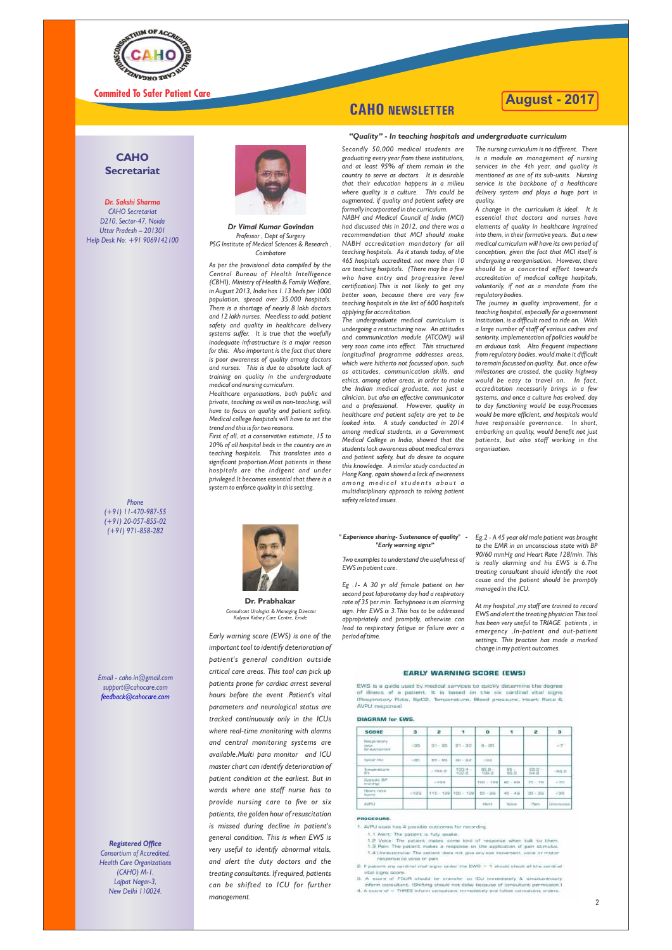

### **CAHO Secretariat**

#### *Dr. Sakshi Sharma*

*CAHO Secretariat D210, Sector-47, Noida Uttar Pradesh – 201301 Help Desk No: +91 9069142100*

> *As per the provisional data compiled by the Central Bureau of Health Intelligence (CBHI), Ministry of Health & Family Welfare, in August 2013, India has 1.13 beds per 1000 population, spread over 35,000 hospitals. There is a shortage of nearly 8 lakh doctors and 12 lakh nurses. Needless to add, patient safety and quality in healthcare delivery systems suffer. It is true that the woefully inadequate infrastructure is a major reason for this. Also important is the fact that there is poor awareness of quality among doctors and nurses. This is due to absolute lack of training on quality in the undergraduate medical and nursing curriculum.*

> *Healthcare organisations, both public and private, teaching as well as non-teaching, will have to focus on quality and patient safety. Medical college hospitals will have to set the trend and this is for two reasons.*

> *First of all, at a conservative estimate, 15 to 20% of all hospital beds in the country are in teaching hospitals. This translates into a significant proportion.Most patients in these hospitals are the indigent and under privileged.It becomes essential that there is a system to enforce quality in this setting.*

*Secondly 50,000 medical students are graduating every year from these institutions, and at least 95% of them remain in the country to serve as doctors. It is desirable that their education happens in a milieu where quality is a culture. This could be augmented, if quality and patient safety are formally incorporated in the curriculum.*

*NABH and Medical Council of India (MCI) had discussed this in 2012, and there was a recommendation that MCI should make NABH accreditation mandatory for all teaching hospitals. As it stands today, of the 465 hospitals accredited, not more than 10 are teaching hospitals. (There may be a few who have entry and progressive level certification).This is not likely to get any better soon, because there are very few teaching hospitals in the list of 600 hospitals applying for accreditation.* 

*The undergraduate medical curriculum is undergoing a restructuring now. An attitudes and communication module (ATCOM) will very soon come into effect. This structured longitudinal programme addresses areas, which were hitherto not focussed upon, such as attitudes, communication skills, and ethics, among other areas, in order to make the Indian medical graduate, not just a clinician, but also an effective communicator and a professional. However, quality in healthcare and patient safety are yet to be looked into. A study conducted in 2014 among medical students, in a Government Medical College in India, showed that the students lack awareness about medical errors and patient safety, but do desire to acquire this knowledge. A similar study conducted in Hong Kong, again showed a lack of awareness amo n g me d i c a l st u d e n ts a b o u t a multidisciplinary approach to solving patient safety related issues.*

*The nursing curriculum is no different. There is a module on management of nursing services in the 4th year, and quality is mentioned as one of its sub-units. Nursing service is the backbone of a healthcare delivery system and plays a huge part in quality.*



*A change in the curriculum is ideal. It is essential that doctors and nurses have elements of quality in healthcare ingrained into them, in their formative years. But a new medical curriculum will have its own period of conception, given the fact that MCI itself is undergoing a reorganisation. However, there should be a concerted effort towards accreditation of medical college hospitals, voluntarily, if not as a mandate from the regulatory bodies.*

*The journey in quality improvement, for a teaching hospital, especially for a government institution, is a difficult road to ride on. With a large number of staff of various cadres and seniority, implementation of policies would be an arduous task. Also frequent inspections from regulatory bodies, would make it difficult to remain focussed on quality. But, once a few milestones are crossed, the quality highway would be easy to travel on. In fact, accreditation necessarily brings in a few systems, and once a culture has evolved, day to day functioning would be easy.Processes would be more efficient, and hospitals would have responsible governance. In short, embarking on quality, would benefit not just patients, but also staff working in the organisation.*



*Dr Vimal Kumar Govindan Professor , Dept of Surgery PSG Institute of Medical Sciences & Research , Coimbatore*

#### *"Quality" - In teaching hospitals and undergraduate curriculum*

*Early warning score (EWS) is one of the important tool to identify deterioration of patient's general condition outside critical care areas. This tool can pick up patients prone for cardiac arrest several hours before the event .Patient's vital parameters and neurological status are tracked continuously only in the ICUs where real-time monitoring with alarms and central monitoring systems are available.Multi para monitor and ICU master chart can identify deterioration of patient condition at the earliest. But in wards where one staff nurse has to provide nursing care to five or six patients, the golden hour of resuscitation is missed during decline in patient's general condition. This is when EWS is very useful to identify abnormal vitals, and alert the duty doctors and the treating consultants. If required, patients can be shifted to ICU for further management.*

*Two examples to understand the usefulness of EWS in patient care.*

*Eg .1- A 30 yr old female patient on her second post laparotomy day had a respiratory rate of 35 per min. Tachypnoea is an alarming sign. Her EWS is 3.This has to be addressed appropriately and promptly, otherwise can lead to respiratory fatigue or failure over a period of time.*

*Eg.2 - A 45 year old male patient was brought to the EMR in an unconscious state with BP 90/60 mmHg and Heart Rate 128/min. This is really alarming and his EWS is 6.The treating consultant should identify the root cause and the patient should be promptly managed in the ICU.*

#### **Dr. Prabhakar**  *Consultant Urologist & Managing Director Kalyani Kidney Care Centre, Erode*

*At my hospital ,my staff are trained to record EWS and alert the treating physician This tool has been very useful to TRIAGE patients , in emergency ,In-patient and out-patient settings. This practise has made a marked change in my patient outcomes.*

#### *" Experience sharing- Sustenance of quality" - "Early warning signs"*

*Email - caho.in@gmail.com support@cahocare.com feedback@cahocare.com*



*Registered Office Consortium of Accredited, Health Care Organizations (CAHO) M-1, Lajpat Nagar-3, New Delhi 110024.*

#### **DIAGRAM for EWS**

| SCORE                                             | 3         | æ.          | ٦                   | 0                 | т.                            | æ.          | з             |
|---------------------------------------------------|-----------|-------------|---------------------|-------------------|-------------------------------|-------------|---------------|
| <b>Fieszpiristory</b><br>PAICH .<br>Birmatha/minL | >35       | $31 - 105$  | 21.120              | $16 - 210$        |                               |             | $\sim 1$      |
| Builde IIIA                                       | $-1.0045$ | $109 - 101$ | 加3~加2               | > 98              |                               |             |               |
| Terreservatives<br>1FY                            |           | >102.2      | 100.4 -<br>102.2    | THE 29 -<br>100.2 | $05 -$<br>BE. E.              | 自立まし<br>日本社 | $-9.02 -$     |
| Birtshille, BBI<br><b>DrimHigh</b>                |           | $-199$      |                     | 100 / 189         | $80 - 96$                     | $TQ = TH$   | $-70$         |
| Heart: rate<br>Hapenil <sup>1</sup>               | $-129$    |             | 110 - 129 100 - 100 | $00 - 00$         | $40 - 49$                     | $30 - 38$   | $-30$         |
| JOJPILI.                                          |           |             |                     | <b>JUHPE:</b>     | <b><i><u>Utricial</u></i></b> | Here.       | Universitäten |

- 1.4 Unresponsive: The patient does not give any eye movement, voice or motor nesponse to voice on pain
- 2. If patient any cardinal vital signs under the EWS > 1 should check all the cardinal vital signs score
- 3. A score of FOUR should be transfer to IDU immediately & simultaneously inform consultant. (Shifting should not delay because of consultant permission.) 4. A score of < THREE inform consultant immediately and follow consultant orders.

### **August - 2017**

2

#### **EARLY WARNING SCORE (EWS)**

EWS is a quide used by medical services to quickly determine the degree of illness of a patient. It is based on the six cardinal vital signs (Respiratory Rate, SpO2, Temperature, Blood pressure, Heart Rate & AVPU response)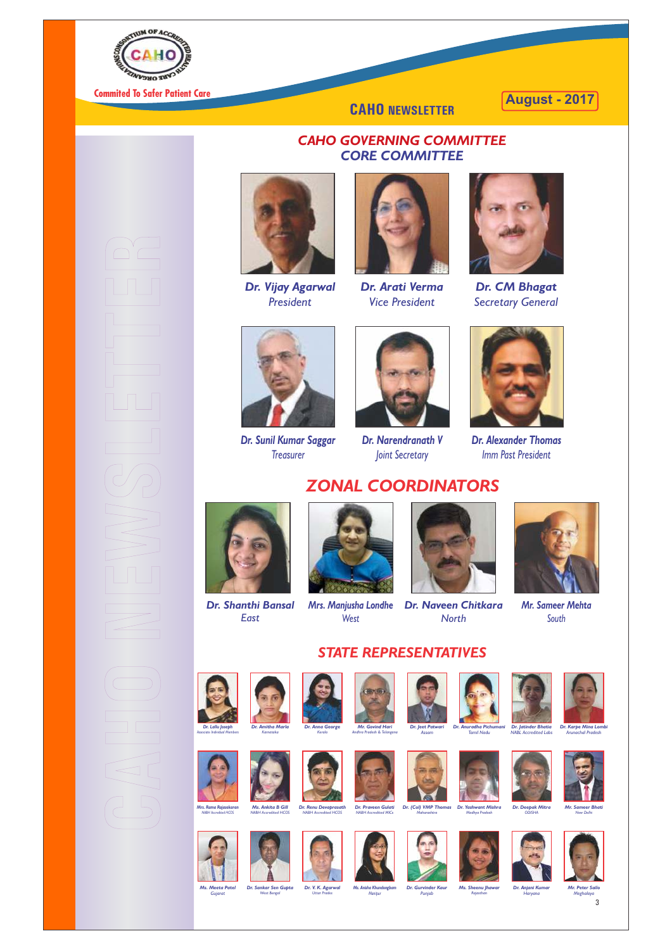

### *CAHO GOVERNING COMMITTEE CORE COMMITTEE*



*Dr. Arati Verma Vice President* 



*Dr. CM Bhagat Secretary General*



*Dr. Sunil Kumar Saggar Treasurer*



*Dr. Narendranath V Joint Secretary*



*Dr. Alexander Thomas Imm Past President*

W. R *Dr. Anna George Kerala*

## *ZONAL COORDINATORS*



*Dr. Shanthi Bansal East*



*Mrs. Manjusha Londhe West*



*Dr. Naveen Chitkara North*



*Mr. Sameer Mehta South*















*STATE REPRESENTATIVES*

*Dr. Praveen Gulati Dr. (Col) VMP Thomas Dr. Yashwant Mishra NABH Accredited MICs Mahar* 



*Dr. Amitha Marla Karnataka*

*Dr. V. K. Agarwal Uttar Pra* 



*Mr. Govind Hari Andhra Pradesh & Telangana* 

*Dr. Jeet Patwari Assam Dr. Anuradha Pichumani Tamil Nadu Dr. Jatinder Bhatia NABL Accredited Labs*

**Alberta** 

**CAHO NEWSLETTER**



*Dr. Vijay Agarwal President*

*Dr. Karpe Mina Lombi Arunachal Pradesh*



*Mrs. Rama Rajasekaran NABH Accredited HCOS*



*Ms. Ankita B Gill NABH Accredited HCOS Dr. Renu Devaprasath*



*NABH Accredited HCOS*

*Madhya Pradesh*





*ODISHA*



*Mr. Sameer Bhati New Delhi*



*Ms. Meeta Patel Gujarat*



*Ms. Anisha Khundongbam Manipur Dr. Gurvinder Kaur Punjab* 



*Ms. Sheenu Jhawar Rajasthan*



*Dr. Anjani Kumar Haryana*





*Meghalaya*







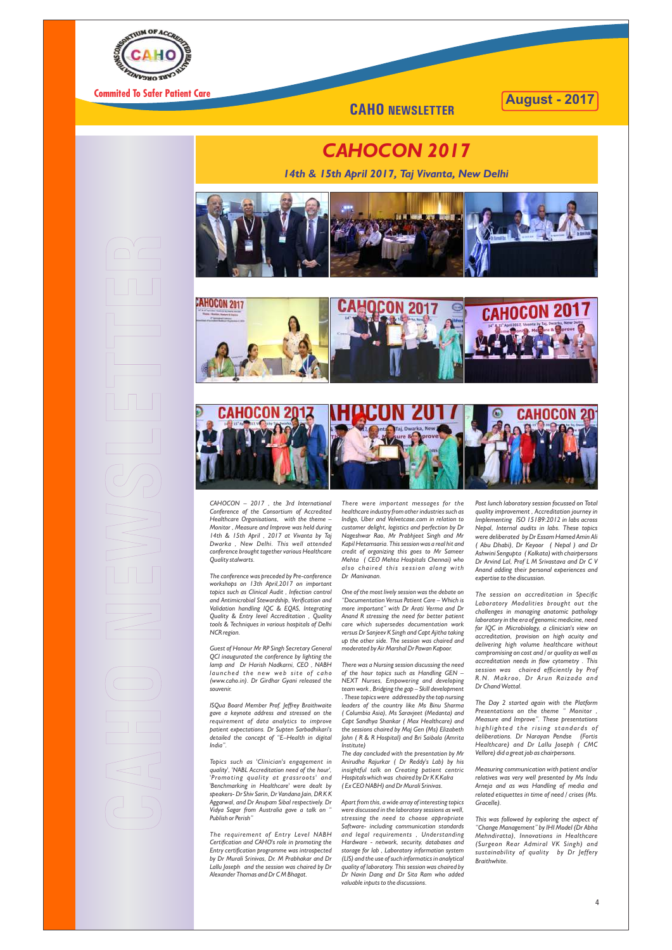

## *CAHOCON 2017*

*14th & 15th April 2017, Taj Vivanta, New Delhi*

*There were important messages for the healthcare industry from other industries such as Indigo, Uber and Velvetcase.com in relation to customer delight, logistics and perfection by Dr Nageshwar Rao, Mr Prabhjeet Singh and Mr Kapil Hetamsaria. This session was a real hit and credit of organizing this goes to Mr Sameer Mehta ( CEO Mehta Hospitals Chennai) who also chaired this session along with Dr Manivanan.* 

*One of the most lively session was the debate on "Documentation Versus Patient Care – Which is more important" with Dr Arati Verma and Dr Anand R stressing the need for better patient care which supersedes documentation work versus Dr Sanjeev K Singh and Capt Ajitha taking up the other side. The session was chaired and moderated by Air Marshal Dr Pawan Kapoor.* 

*There was a Nursing session discussing the need of the hour topics such as Handling GEN – NEXT Nurses, Empowering and developing team work , Bridging the gap – Skill development . These topics were addressed by the top nursing leaders of the country like Ms Binu Sharma ( Columbia Asia), Ms Saravjeet (Medanta) and Capt Sandhya Shankar ( Max Healthcare) and the sessions chaired by Maj Gen (Ms) Elizabeth John ( R & R Hospital) and Bri Saibala (Amrita Institute) The day concluded with the presentation by Mr Anirudha Rajurkar ( Dr Reddy's Lab) by his insightful talk on Creating patient centric Hospitals which was chaired by Dr K K Kalra ( Ex CEO NABH) and Dr Murali Srinivas.*

*Apart from this, a wide array of interesting topics were discussed in the laboratory sessions as well, stressing the need to choose appropriate Software- including communication standards and legal requirements , Understanding Hardware - network, security, databases and storage for lab , Laboratory information system (LIS) and the use of such informatics in analytical quality of laboratory. This session was chaired by Dr Navin Dang and Dr Sita Ram who added valuable inputs to the discussions.*

*Post lunch laboratory session focussed on Total quality improvement , Accreditation journey in Implementing ISO 15189:2012 in labs across Nepal, Internal audits in labs. These topics were deliberated by Dr Essam Hamed Amin Ali ( Abu Dhabi), Dr Keyoor ( Nepal ) and Dr Ashwini Sengupta ( Kolkata) with chairpersons Dr Arvind Lal, Prof L M Srivastava and Dr C V Anand adding their personal experiences and expertise to the discussion.* 

*The session on accreditation in Specific Laboratory Modalities brought out the challenges in managing anatomic pathology laboratory in the era of genomic medicine, need for IQC in Microbiology, a clinician's view on accreditation, provision on high acuity and delivering high volume healthcare without compromising on cost and / or quality as well as*   $accreditation$  needs in flow cytometry . This *session was chaired efficiently by Prof R.N. Makroo, Dr Arun Rai zada and Dr Chand Wattal.*

*The Day 2 started again with the Platform Presentations on the theme " Monitor , Measure and Improve". These presentations hi ghl i ght e d the rising st and a r d s o f deliberations. Dr Narayan Pendse (Fortis Healthcare) and Dr Lallu Joseph ( CMC Vellore) did a great job as chairpersons.*

*Measuring communication with patient and/or relatives was very well presented by Ms Indu Arneja and as was Handling of media and related etiquettes in time of need / crises (Ms. Gracelle).*

*This was followed by exploring the aspect of "Change Management" by IHI Model (Dr Abha Mehndiratta), Innovations in Healthcare (Surgeon Rear Admiral VK Singh) and sustainability of quality by Dr Jeffery Braithwhite.*

*CAHOCON – 2017 , the 3rd International Conference of the Consortium of Accredited Healthcare Organisations, with the theme – Monitor , Measure and Improve was held during 14th & 15th April , 2017 at Vivanta by Taj Dwarka , New Delhi. This well attended conference brought together various Healthcare Quality stalwarts.*

*The conference was preceded by Pre-conference workshops on 13th April,2017 on important topics such as Clinical Audit , Infection control and Antimicrobial Stewardship, Verification and Validation handling IQC & EQAS, Integrating Quality & Entry level Accreditation , Quality tools & Techniques in various hospitals of Delhi NCR region.*

*Guest of Honour Mr RP Singh Secretary General QCI inaugurated the conference by lighting the lamp and Dr Harish Nadkarni, CEO , NABH l a u n c h e d t h e n ew we b sit e o f c a h o (www.caho.in). Dr Girdhar Gyani released the souvenir.*

*ISQua Board Member Prof. Jeffrey Braithwaite gave a keynote address and stressed on the requirement of data analytics to improve patient expectations. Dr Supten Sarbadhikari's detailed the concept of "E–Health in digital India".* 

*Topics such as 'Clinician's engagement in quality', 'NABL Accreditation need of the hour', 'Promoting quality at grassroots' and 'Benchmarking in Healthcare' were dealt by speakers- Dr Shiv Sarin, Dr Vandana Jain, DR K K Aggarwal, and Dr Anupam Sibal respectively. Dr Vidya Sagar from Australia gave a talk on " Publish or Perish"*

*The requirement of Entry Level NABH Certification and CAHO's role in promoting the Entry certification programme was introspected by Dr Murali Srinivas, Dr. M Prabhakar and Dr Lallu Joseph and the session was chaired by Dr Alexander Thomas and Dr C M Bhagat.* 







### **August - 2017**

4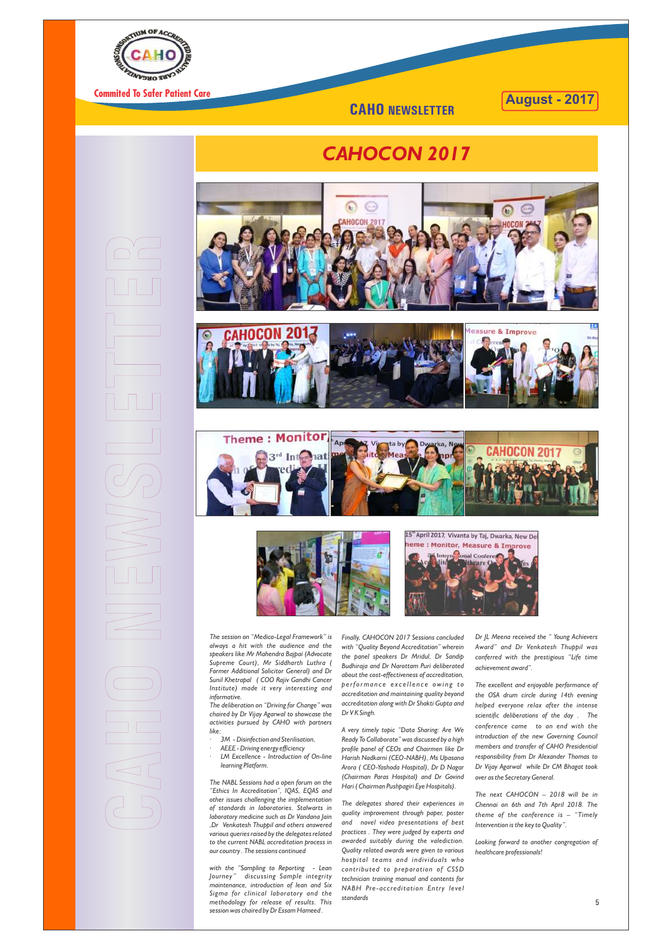*Finally, CAHOCON 2017 Sessions concluded with "Quality Beyond Accreditation" wherein the panel speakers Dr Mridul, Dr Sandip Budhiraja and Dr Narottam Puri deliberated about the cost-effectiveness of accreditation, p e rf o rma n c e e x c e l l e n c e owi n g t o accreditation and maintaining quality beyond accreditation along with Dr Shakti Gupta and Dr V K Singh.*

*A very timely topic "Data Sharing: Are We Ready To Collaborate" was discussed by a high profile panel of CEOs and Chairmen like Dr Harish Nadkarni (CEO-NABH), Ms Upasana Arora ( CEO-Yashoda Hospital), Dr D Nagar (Chairman Paras Hospital) and Dr Govind Hari ( Chairman Pushpagiri Eye Hospitals).*

*The delegates shared their experiences in quality improvement through paper, poster and novel video presentations of best practices . They were judged by experts and awarded suitably during the valediction. Quality related awards were given to various hospital teams and individuals who contributed to preparation of CSSD technician training manual and contents for NABH Pre-accreditation Entry level standards* 

*The session on "Medico-Legal Framework" is always a hit with the audience and the speakers like Mr Mahendra Bajpai (Advocate Supreme Court), Mr Siddharth Luthra ( Former Additional Solicitor General) and Dr Sunil Khetrapal ( COO Rajiv Gandhi Cancer Institute) made it very interesting and informative.*

*The deliberation on "Driving for Change" was chaired by Dr Vijay Agarwal to showcase the* 

*activities pursued by CAHO with partners like:*

- *· 3M Disinfection and Sterilisation,*
- *· AEEE Driving energy efficiency*
- *· LM Excellence Introduction of On-line learning Platform.*

*The NABL Sessions had a open forum on the "Ethics In Accreditation", IQAS, EQAS and other issues challenging the implementation of standards in laboratories. Stalwarts in laboratory medicine such as Dr Vandana Jain ,Dr Venkatesh Thuppil and others answered various queries raised by the delegates related to the current NABL accreditation process in our country . The sessions continued* 

*with the "Sampling to Reporting - Lean Journey " discussing Sample integrity maintenance, introduction of lean and Six Sigma for clinical laboratory and the methodology for release of results. This session was chaired by Dr Essam Hameed .* 



Commited To Safer Patient Care

# *CAHOCON 2017*

*Dr JL Meena received the " Young Achievers Award" and Dr Venkatesh Thuppil was conferred with the prestigious "Life time achievement award".* 

*The excellent and enjoyable performance of the OSA drum circle during 14th evening helped everyone relax after the intense scientific deliberations of the day . The conference came to an end with the introduction of the new Governing Council members and transfer of CAHO Presidential responsibility from Dr Alexander Thomas to Dr Vijay Agarwal while Dr CM Bhagat took over as the Secretary General.*

 $\frac{1}{2}$ 

*The next CAHOCON – 2018 will be in Chennai on 6th and 7th April 2018. The theme of the conference is – "Timely Intervention is the key to Quality".* 

*Looking forward to another congregation of healthcare professionals!*













## **August - 2017**

5